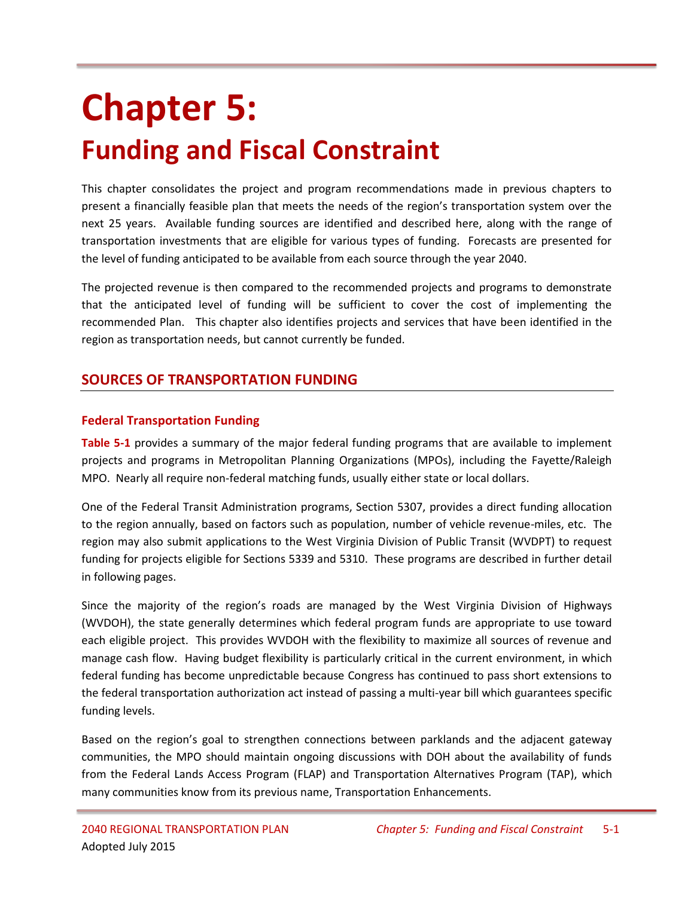# **Chapter 5: Funding and Fiscal Constraint**

This chapter consolidates the project and program recommendations made in previous chapters to present a financially feasible plan that meets the needs of the region's transportation system over the next 25 years. Available funding sources are identified and described here, along with the range of transportation investments that are eligible for various types of funding. Forecasts are presented for the level of funding anticipated to be available from each source through the year 2040.

The projected revenue is then compared to the recommended projects and programs to demonstrate that the anticipated level of funding will be sufficient to cover the cost of implementing the recommended Plan. This chapter also identifies projects and services that have been identified in the region as transportation needs, but cannot currently be funded.

# **SOURCES OF TRANSPORTATION FUNDING**

#### **Federal Transportation Funding**

**Table 5-1** provides a summary of the major federal funding programs that are available to implement projects and programs in Metropolitan Planning Organizations (MPOs), including the Fayette/Raleigh MPO. Nearly all require non-federal matching funds, usually either state or local dollars.

One of the Federal Transit Administration programs, Section 5307, provides a direct funding allocation to the region annually, based on factors such as population, number of vehicle revenue-miles, etc. The region may also submit applications to the West Virginia Division of Public Transit (WVDPT) to request funding for projects eligible for Sections 5339 and 5310. These programs are described in further detail in following pages.

Since the majority of the region's roads are managed by the West Virginia Division of Highways (WVDOH), the state generally determines which federal program funds are appropriate to use toward each eligible project. This provides WVDOH with the flexibility to maximize all sources of revenue and manage cash flow. Having budget flexibility is particularly critical in the current environment, in which federal funding has become unpredictable because Congress has continued to pass short extensions to the federal transportation authorization act instead of passing a multi-year bill which guarantees specific funding levels.

Based on the region's goal to strengthen connections between parklands and the adjacent gateway communities, the MPO should maintain ongoing discussions with DOH about the availability of funds from the Federal Lands Access Program (FLAP) and Transportation Alternatives Program (TAP), which many communities know from its previous name, Transportation Enhancements.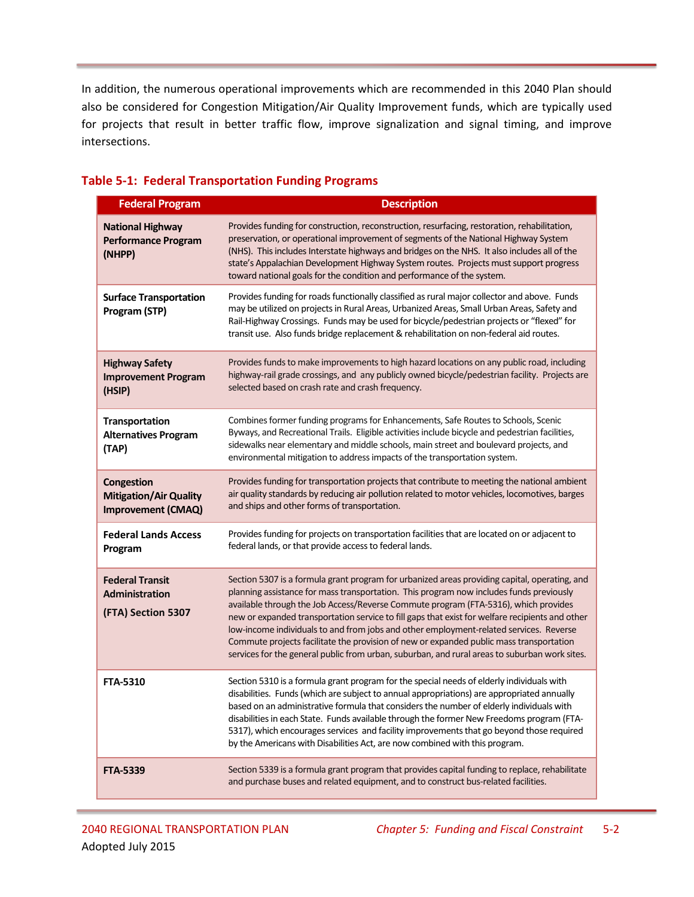In addition, the numerous operational improvements which are recommended in this 2040 Plan should also be considered for Congestion Mitigation/Air Quality Improvement funds, which are typically used for projects that result in better traffic flow, improve signalization and signal timing, and improve intersections.

#### **Federal Program Description National Highway Performance Program (NHPP)** Provides funding for construction, reconstruction, resurfacing, restoration, rehabilitation, preservation, or operational improvement of segments of the National Highway System (NHS). This includes Interstate highways and bridges on the NHS. It also includes all of the state's Appalachian Development Highway System routes. Projects must support progress toward national goals for the condition and performance of the system. **Surface Transportation Program (STP)** Provides funding for roads functionally classified as rural major collector and above. Funds may be utilized on projects in Rural Areas, Urbanized Areas, Small Urban Areas, Safety and Rail-Highway Crossings. Funds may be used for bicycle/pedestrian projects or "flexed" for transit use. Also funds bridge replacement & rehabilitation on non-federal aid routes. **Highway Safety Improvement Program (HSIP)** Provides funds to make improvements to high hazard locations on any public road, including highway-rail grade crossings, and any publicly owned bicycle/pedestrian facility. Projects are selected based on crash rate and crash frequency. **Transportation Alternatives Program (TAP)** Combines former funding programs for Enhancements, Safe Routes to Schools, Scenic Byways, and Recreational Trails. Eligible activities include bicycle and pedestrian facilities, sidewalks near elementary and middle schools, main street and boulevard projects, and environmental mitigation to address impacts of the transportation system. **Congestion Mitigation/Air Quality Improvement (CMAQ)** Provides funding for transportation projects that contribute to meeting the national ambient air quality standards by reducing air pollution related to motor vehicles, locomotives, barges and ships and other forms of transportation. **Federal Lands Access Program** Provides funding for projects on transportation facilities that are located on or adjacent to federal lands, or that provide access to federal lands. **Federal Transit Administration (FTA) Section 5307** Section 5307 is a formula grant program for urbanized areas providing capital, operating, and planning assistance for mass transportation. This program now includes funds previously available through the Job Access/Reverse Commute program (FTA-5316), which provides new or expanded transportation service to fill gaps that exist for welfare recipients and other low-income individuals to and from jobs and other employment-related services. Reverse Commute projects facilitate the provision of new or expanded public mass transportation services for the general public from urban, suburban, and rural areas to suburban work sites. **FTA-5310** Section 5310 is a formula grant program for the special needs of elderly individuals with disabilities. Funds (which are subject to annual appropriations) are appropriated annually based on an administrative formula that considers the number of elderly individuals with disabilities in each State. Funds available through the former New Freedoms program (FTA-5317), which encourages services and facility improvements that go beyond those required by the Americans with Disabilities Act, are now combined with this program. **FTA-5339** Section 5339 is a formula grant program that provides capital funding to replace, rehabilitate and purchase buses and related equipment, and to construct bus-related facilities.

#### **Table 5-1: Federal Transportation Funding Programs**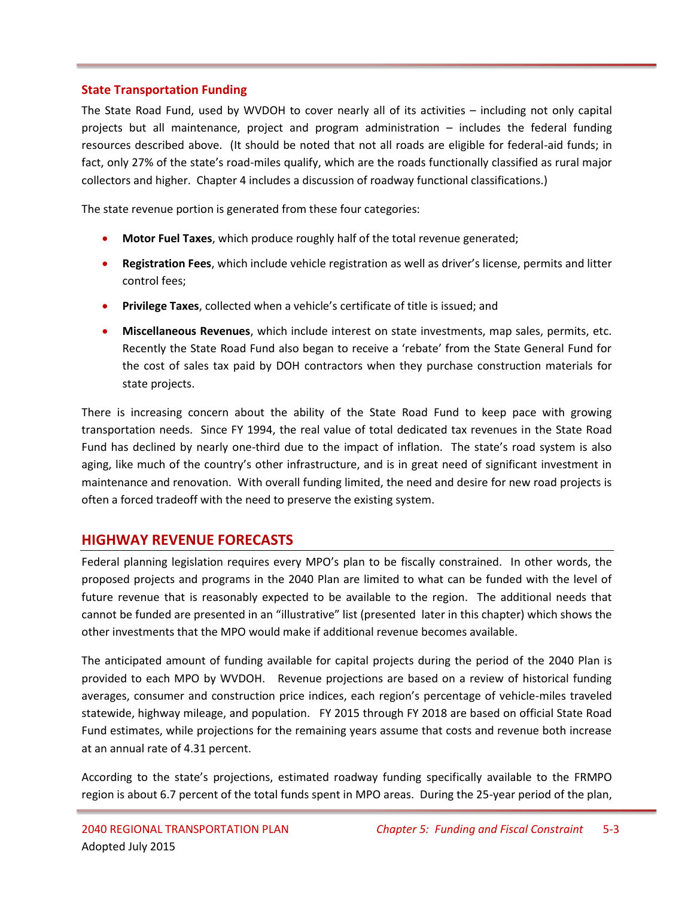#### **State Transportation Funding**

The State Road Fund, used by WVDOH to cover nearly all of its activities – including not only capital projects but all maintenance, project and program administration – includes the federal funding resources described above. (It should be noted that not all roads are eligible for federal-aid funds; in fact, only 27% of the state's road-miles qualify, which are the roads functionally classified as rural major collectors and higher. Chapter 4 includes a discussion of roadway functional classifications.)

The state revenue portion is generated from these four categories:

- **Motor Fuel Taxes**, which produce roughly half of the total revenue generated;
- **Registration Fees**, which include vehicle registration as well as driver's license, permits and litter control fees;
- **Privilege Taxes**, collected when a vehicle's certificate of title is issued; and
- **Miscellaneous Revenues**, which include interest on state investments, map sales, permits, etc. Recently the State Road Fund also began to receive a 'rebate' from the State General Fund for the cost of sales tax paid by DOH contractors when they purchase construction materials for state projects.

There is increasing concern about the ability of the State Road Fund to keep pace with growing transportation needs. Since FY 1994, the real value of total dedicated tax revenues in the State Road Fund has declined by nearly one-third due to the impact of inflation. The state's road system is also aging, like much of the country's other infrastructure, and is in great need of significant investment in maintenance and renovation. With overall funding limited, the need and desire for new road projects is often a forced tradeoff with the need to preserve the existing system.

### **HIGHWAY REVENUE FORECASTS**

Federal planning legislation requires every MPO's plan to be fiscally constrained. In other words, the proposed projects and programs in the 2040 Plan are limited to what can be funded with the level of future revenue that is reasonably expected to be available to the region. The additional needs that cannot be funded are presented in an "illustrative" list (presented later in this chapter) which shows the other investments that the MPO would make if additional revenue becomes available.

The anticipated amount of funding available for capital projects during the period of the 2040 Plan is provided to each MPO by WVDOH. Revenue projections are based on a review of historical funding averages, consumer and construction price indices, each region's percentage of vehicle-miles traveled statewide, highway mileage, and population. FY 2015 through FY 2018 are based on official State Road Fund estimates, while projections for the remaining years assume that costs and revenue both increase at an annual rate of 4.31 percent.

According to the state's projections, estimated roadway funding specifically available to the FRMPO region is about 6.7 percent of the total funds spent in MPO areas. During the 25-year period of the plan,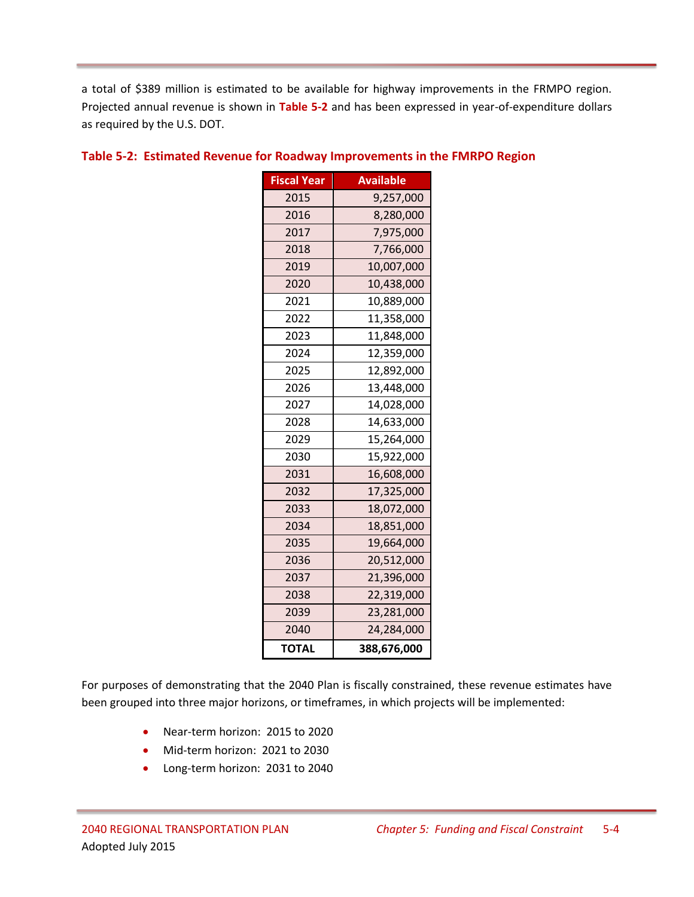a total of \$389 million is estimated to be available for highway improvements in the FRMPO region. Projected annual revenue is shown in **Table 5-2** and has been expressed in year-of-expenditure dollars as required by the U.S. DOT.

| <b>Fiscal Year</b> | <b>Available</b> |
|--------------------|------------------|
| 2015               | 9,257,000        |
| 2016               | 8,280,000        |
| 2017               | 7,975,000        |
| 2018               | 7,766,000        |
| 2019               | 10,007,000       |
| 2020               | 10,438,000       |
| 2021               | 10,889,000       |
| 2022               | 11,358,000       |
| 2023               | 11,848,000       |
| 2024               | 12,359,000       |
| 2025               | 12,892,000       |
| 2026               | 13,448,000       |
| 2027               | 14,028,000       |
| 2028               | 14,633,000       |
| 2029               | 15,264,000       |
| 2030               | 15,922,000       |
| 2031               | 16,608,000       |
| 2032               | 17,325,000       |
| 2033               | 18,072,000       |
| 2034               | 18,851,000       |
| 2035               | 19,664,000       |
| 2036               | 20,512,000       |
| 2037               | 21,396,000       |
| 2038               | 22,319,000       |
| 2039               | 23,281,000       |
| 2040               | 24,284,000       |
| <b>TOTAL</b>       | 388,676,000      |

#### **Table 5-2: Estimated Revenue for Roadway Improvements in the FMRPO Region**

For purposes of demonstrating that the 2040 Plan is fiscally constrained, these revenue estimates have been grouped into three major horizons, or timeframes, in which projects will be implemented:

- Near-term horizon: 2015 to 2020
- Mid-term horizon: 2021 to 2030
- Long-term horizon: 2031 to 2040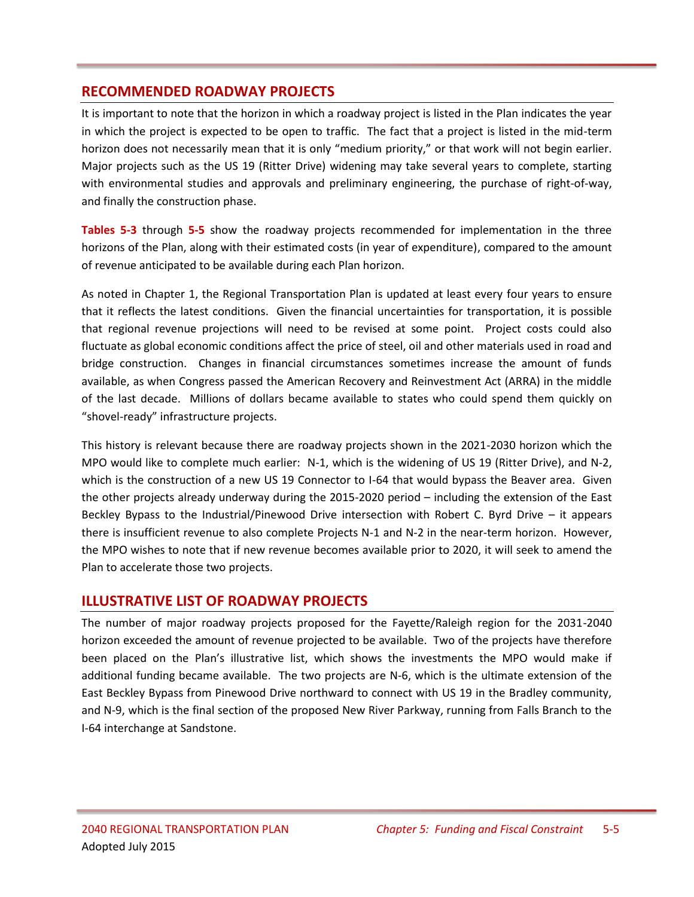# **RECOMMENDED ROADWAY PROJECTS**

It is important to note that the horizon in which a roadway project is listed in the Plan indicates the year in which the project is expected to be open to traffic. The fact that a project is listed in the mid-term horizon does not necessarily mean that it is only "medium priority," or that work will not begin earlier. Major projects such as the US 19 (Ritter Drive) widening may take several years to complete, starting with environmental studies and approvals and preliminary engineering, the purchase of right-of-way, and finally the construction phase.

**Tables 5-3** through **5-5** show the roadway projects recommended for implementation in the three horizons of the Plan, along with their estimated costs (in year of expenditure), compared to the amount of revenue anticipated to be available during each Plan horizon.

As noted in Chapter 1, the Regional Transportation Plan is updated at least every four years to ensure that it reflects the latest conditions. Given the financial uncertainties for transportation, it is possible that regional revenue projections will need to be revised at some point. Project costs could also fluctuate as global economic conditions affect the price of steel, oil and other materials used in road and bridge construction. Changes in financial circumstances sometimes increase the amount of funds available, as when Congress passed the American Recovery and Reinvestment Act (ARRA) in the middle of the last decade. Millions of dollars became available to states who could spend them quickly on "shovel-ready" infrastructure projects.

This history is relevant because there are roadway projects shown in the 2021-2030 horizon which the MPO would like to complete much earlier: N-1, which is the widening of US 19 (Ritter Drive), and N-2, which is the construction of a new US 19 Connector to I-64 that would bypass the Beaver area. Given the other projects already underway during the 2015-2020 period – including the extension of the East Beckley Bypass to the Industrial/Pinewood Drive intersection with Robert C. Byrd Drive – it appears there is insufficient revenue to also complete Projects N-1 and N-2 in the near-term horizon. However, the MPO wishes to note that if new revenue becomes available prior to 2020, it will seek to amend the Plan to accelerate those two projects.

# **ILLUSTRATIVE LIST OF ROADWAY PROJECTS**

The number of major roadway projects proposed for the Fayette/Raleigh region for the 2031-2040 horizon exceeded the amount of revenue projected to be available. Two of the projects have therefore been placed on the Plan's illustrative list, which shows the investments the MPO would make if additional funding became available. The two projects are N-6, which is the ultimate extension of the East Beckley Bypass from Pinewood Drive northward to connect with US 19 in the Bradley community, and N-9, which is the final section of the proposed New River Parkway, running from Falls Branch to the I-64 interchange at Sandstone.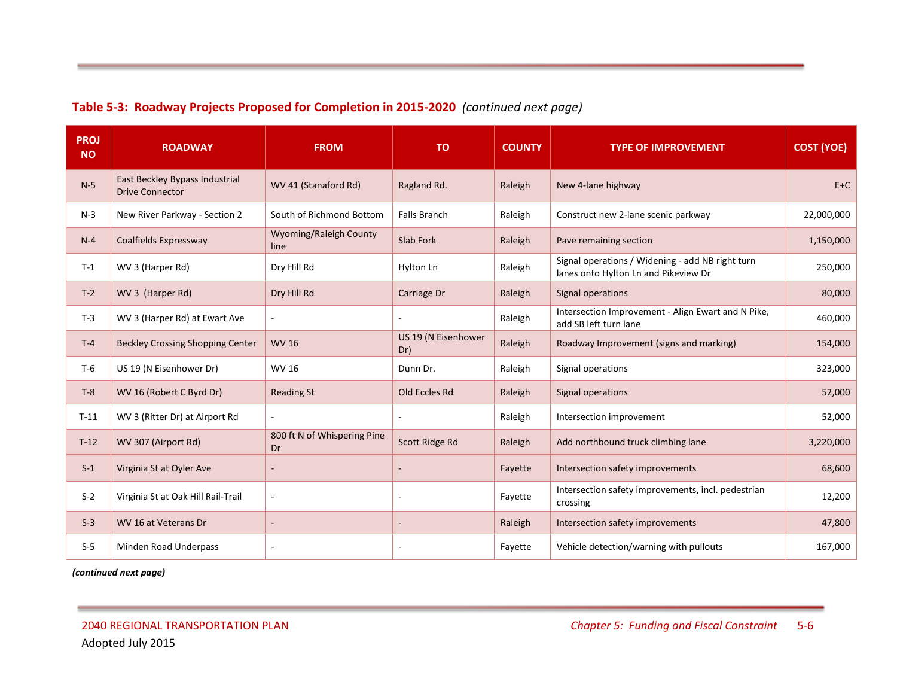| <b>PROJ</b><br><b>NO</b> | <b>ROADWAY</b>                                           | <b>FROM</b>                       | <b>TO</b>                  | <b>COUNTY</b>                                                                          | <b>TYPE OF IMPROVEMENT</b>                                                               | <b>COST (YOE)</b> |
|--------------------------|----------------------------------------------------------|-----------------------------------|----------------------------|----------------------------------------------------------------------------------------|------------------------------------------------------------------------------------------|-------------------|
| $N-5$                    | East Beckley Bypass Industrial<br><b>Drive Connector</b> | WV 41 (Stanaford Rd)              | Ragland Rd.                | Raleigh                                                                                | New 4-lane highway                                                                       | $E+C$             |
| $N-3$                    | New River Parkway - Section 2                            | South of Richmond Bottom          | <b>Falls Branch</b>        | Raleigh                                                                                | Construct new 2-lane scenic parkway                                                      | 22,000,000        |
| $N-4$                    | Coalfields Expressway                                    | Wyoming/Raleigh County<br>line    | Slab Fork                  | Raleigh                                                                                | Pave remaining section                                                                   | 1,150,000         |
| $T-1$                    | WV 3 (Harper Rd)                                         | Dry Hill Rd                       | Hylton Ln                  | Raleigh                                                                                | Signal operations / Widening - add NB right turn<br>lanes onto Hylton Ln and Pikeview Dr | 250,000           |
| $T-2$                    | WV 3 (Harper Rd)                                         | Dry Hill Rd                       | Carriage Dr                | Raleigh                                                                                | Signal operations                                                                        | 80,000            |
| $T-3$                    | WV 3 (Harper Rd) at Ewart Ave                            | $\mathbf{r}$                      | $\sim$                     | Intersection Improvement - Align Ewart and N Pike,<br>Raleigh<br>add SB left turn lane |                                                                                          | 460,000           |
| $T-4$                    | <b>Beckley Crossing Shopping Center</b>                  | <b>WV 16</b>                      | US 19 (N Eisenhower<br>Dr) | Raleigh<br>Roadway Improvement (signs and marking)                                     |                                                                                          | 154,000           |
| $T-6$                    | US 19 (N Eisenhower Dr)                                  | <b>WV 16</b>                      | Dunn Dr.                   | Raleigh                                                                                | Signal operations                                                                        | 323,000           |
| $T-8$                    | WV 16 (Robert C Byrd Dr)                                 | <b>Reading St</b>                 | Old Eccles Rd              | Raleigh                                                                                | Signal operations                                                                        | 52,000            |
| $T-11$                   | WV 3 (Ritter Dr) at Airport Rd                           | ÷.                                | $\sim$                     | Raleigh                                                                                | Intersection improvement                                                                 | 52,000            |
| $T-12$                   | WV 307 (Airport Rd)                                      | 800 ft N of Whispering Pine<br>Dr | Scott Ridge Rd             | Add northbound truck climbing lane<br>Raleigh                                          |                                                                                          | 3,220,000         |
| $S-1$                    | Virginia St at Oyler Ave                                 |                                   |                            | Fayette                                                                                | Intersection safety improvements                                                         | 68,600            |
| $S-2$                    | Virginia St at Oak Hill Rail-Trail                       | $\overline{\phantom{a}}$          | $\sim$                     | Intersection safety improvements, incl. pedestrian<br>Fayette<br>crossing              |                                                                                          | 12,200            |
| $S-3$                    | WV 16 at Veterans Dr                                     |                                   |                            | Intersection safety improvements<br>Raleigh                                            |                                                                                          | 47,800            |
| $S-5$                    | Minden Road Underpass                                    |                                   | $\overline{\phantom{a}}$   | Vehicle detection/warning with pullouts<br>Fayette                                     |                                                                                          | 167,000           |

# **Table 5-3: Roadway Projects Proposed for Completion in 2015-2020** *(continued next page)*

*(continued next page)*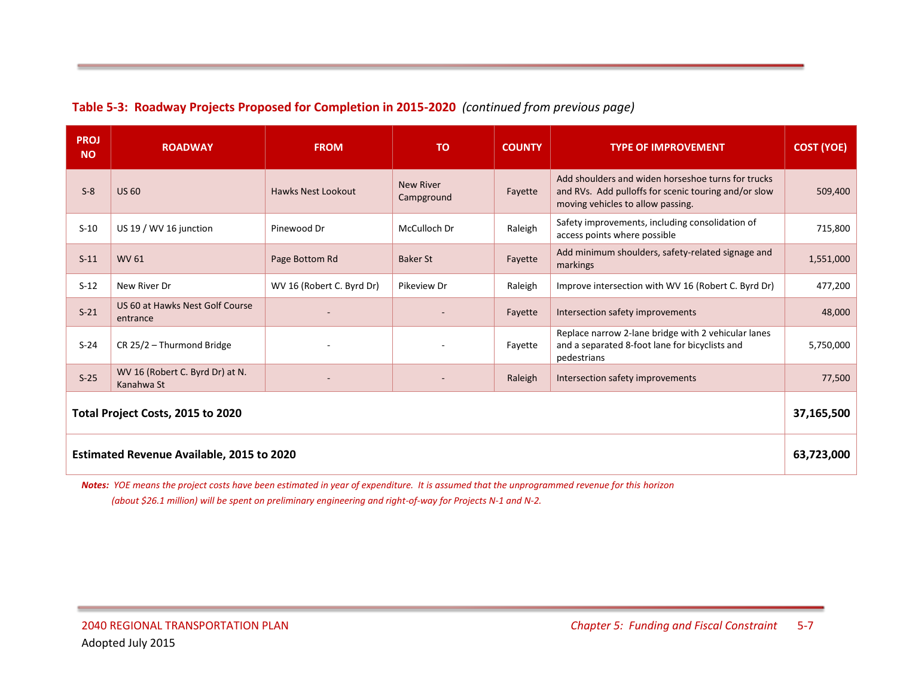### **Table 5-3: Roadway Projects Proposed for Completion in 2015-2020** *(continued from previous page)*

| <b>PROJ</b><br><b>NO</b>                         | <b>ROADWAY</b>                                | <b>FROM</b>               | <b>TO</b>                      | <b>COUNTY</b> | <b>TYPE OF IMPROVEMENT</b>                                                                                                                      | <b>COST (YOE)</b> |  |  |
|--------------------------------------------------|-----------------------------------------------|---------------------------|--------------------------------|---------------|-------------------------------------------------------------------------------------------------------------------------------------------------|-------------------|--|--|
| $S-8$                                            | <b>US 60</b>                                  | <b>Hawks Nest Lookout</b> | <b>New River</b><br>Campground | Fayette       | Add shoulders and widen horseshoe turns for trucks<br>and RVs. Add pulloffs for scenic touring and/or slow<br>moving vehicles to allow passing. | 509,400           |  |  |
| $S-10$                                           | US 19 / WV 16 junction                        | Pinewood Dr               | McCulloch Dr                   | Raleigh       | Safety improvements, including consolidation of<br>access points where possible                                                                 | 715,800           |  |  |
| $S-11$                                           | WV 61                                         | Page Bottom Rd            | <b>Baker St</b>                | Fayette       | Add minimum shoulders, safety-related signage and<br>markings                                                                                   | 1,551,000         |  |  |
| $S-12$                                           | New River Dr                                  | WV 16 (Robert C. Byrd Dr) | Pikeview Dr                    | Raleigh       | Improve intersection with WV 16 (Robert C. Byrd Dr)                                                                                             | 477,200           |  |  |
| $S-21$                                           | US 60 at Hawks Nest Golf Course<br>entrance   |                           |                                | Fayette       | Intersection safety improvements                                                                                                                | 48,000            |  |  |
| $S-24$                                           | CR 25/2 - Thurmond Bridge                     |                           |                                | Fayette       | Replace narrow 2-lane bridge with 2 vehicular lanes<br>and a separated 8-foot lane for bicyclists and<br>pedestrians                            | 5,750,000         |  |  |
| $S-25$                                           | WV 16 (Robert C. Byrd Dr) at N.<br>Kanahwa St |                           |                                | Raleigh       | Intersection safety improvements                                                                                                                | 77,500            |  |  |
| Total Project Costs, 2015 to 2020                |                                               |                           |                                |               |                                                                                                                                                 |                   |  |  |
| <b>Estimated Revenue Available, 2015 to 2020</b> |                                               |                           |                                |               |                                                                                                                                                 |                   |  |  |

*Notes: YOE means the project costs have been estimated in year of expenditure. It is assumed that the unprogrammed revenue for this horizon (about \$26.1 million) will be spent on preliminary engineering and right-of-way for Projects N-1 and N-2.*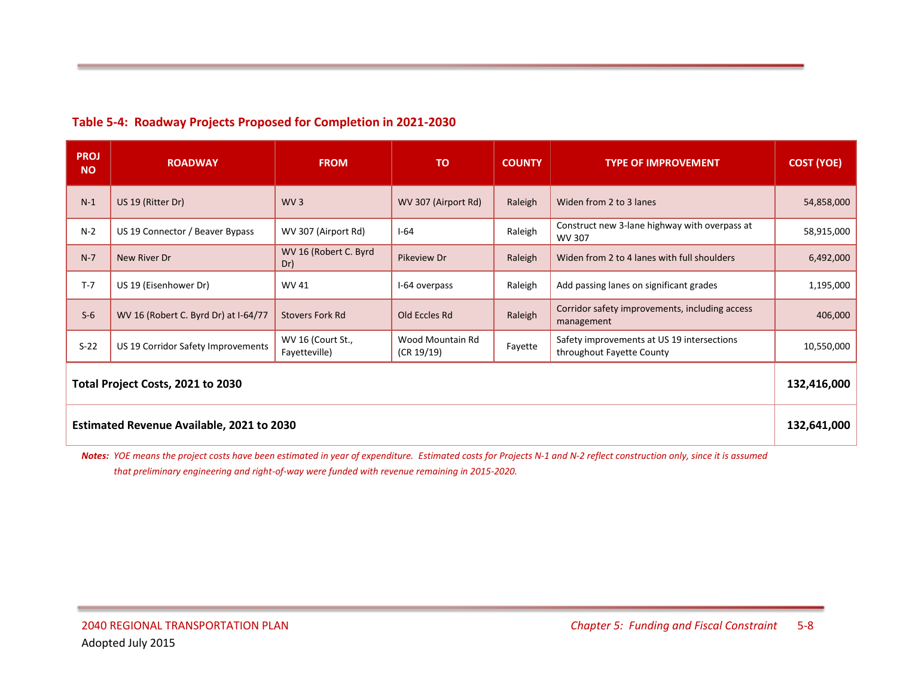#### **Table 5-4: Roadway Projects Proposed for Completion in 2021-2030**

| <b>PROJ</b><br><b>NO</b>                  | <b>ROADWAY</b>                       | <b>FROM</b>                        | <b>TO</b>                      | <b>COUNTY</b> | <b>TYPE OF IMPROVEMENT</b>                                              | <b>COST (YOE)</b> |  |  |
|-------------------------------------------|--------------------------------------|------------------------------------|--------------------------------|---------------|-------------------------------------------------------------------------|-------------------|--|--|
| $N-1$                                     | US 19 (Ritter Dr)                    | WV3                                | WV 307 (Airport Rd)            | Raleigh       | Widen from 2 to 3 lanes                                                 | 54,858,000        |  |  |
| $N-2$                                     | US 19 Connector / Beaver Bypass      | WV 307 (Airport Rd)                | $I-64$                         | Raleigh       | Construct new 3-lane highway with overpass at<br>WV 307                 | 58,915,000        |  |  |
| $N-7$                                     | New River Dr                         | WV 16 (Robert C. Byrd<br>Dr)       | Pikeview Dr                    | Raleigh       | Widen from 2 to 4 lanes with full shoulders                             | 6,492,000         |  |  |
| $T-7$                                     | US 19 (Eisenhower Dr)                | WV 41                              | I-64 overpass                  | Raleigh       | Add passing lanes on significant grades                                 | 1,195,000         |  |  |
| $S-6$                                     | WV 16 (Robert C. Byrd Dr) at I-64/77 | Stovers Fork Rd                    | Old Eccles Rd                  | Raleigh       | Corridor safety improvements, including access<br>management            | 406,000           |  |  |
| $S-22$                                    | US 19 Corridor Safety Improvements   | WV 16 (Court St.,<br>Fayetteville) | Wood Mountain Rd<br>(CR 19/19) | Fayette       | Safety improvements at US 19 intersections<br>throughout Fayette County | 10,550,000        |  |  |
| Total Project Costs, 2021 to 2030         |                                      |                                    |                                |               |                                                                         |                   |  |  |
| Estimated Revenue Available, 2021 to 2030 |                                      |                                    |                                |               |                                                                         |                   |  |  |

*Notes: YOE means the project costs have been estimated in year of expenditure. Estimated costs for Projects N-1 and N-2 reflect construction only, since it is assumed that preliminary engineering and right-of-way were funded with revenue remaining in 2015-2020.*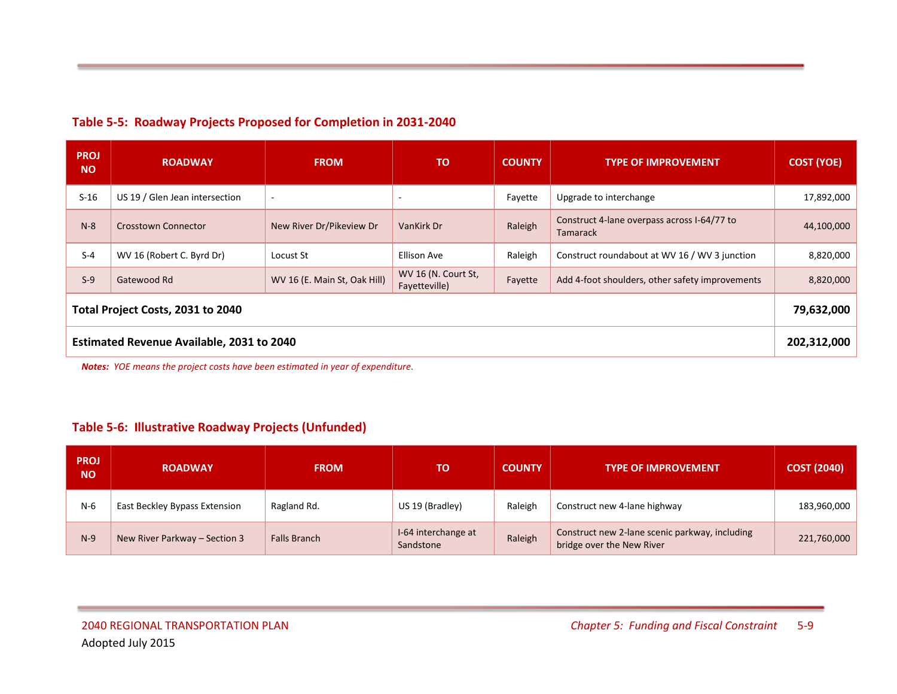#### **Table 5-5: Roadway Projects Proposed for Completion in 2031-2040**

| <b>PROJ</b><br><b>NO</b>                  | <b>ROADWAY</b>                 | <b>FROM</b>                  | <b>TO</b>                            | <b>COUNTY</b>                                              | <b>TYPE OF IMPROVEMENT</b>                                     | <b>COST (YOE)</b> |  |  |
|-------------------------------------------|--------------------------------|------------------------------|--------------------------------------|------------------------------------------------------------|----------------------------------------------------------------|-------------------|--|--|
| $S-16$                                    | US 19 / Glen Jean intersection | $\sim$                       | $\overline{a}$                       | Fayette                                                    | Upgrade to interchange                                         | 17,892,000        |  |  |
| $N-8$                                     | <b>Crosstown Connector</b>     | New River Dr/Pikeview Dr     | Raleigh<br>VanKirk Dr                |                                                            | Construct 4-lane overpass across I-64/77 to<br><b>Tamarack</b> | 44,100,000        |  |  |
| $S-4$                                     | WV 16 (Robert C. Byrd Dr)      | Locust St                    | Ellison Ave                          | Raleigh                                                    | Construct roundabout at WV 16 / WV 3 junction                  | 8,820,000         |  |  |
| $S-9$                                     | Gatewood Rd                    | WV 16 (E. Main St, Oak Hill) | WV 16 (N. Court St,<br>Fayetteville) | Add 4-foot shoulders, other safety improvements<br>Fayette |                                                                | 8,820,000         |  |  |
| Total Project Costs, 2031 to 2040         |                                |                              |                                      |                                                            |                                                                |                   |  |  |
| Estimated Revenue Available, 2031 to 2040 |                                |                              |                                      |                                                            |                                                                |                   |  |  |

*Notes: YOE means the project costs have been estimated in year of expenditure.*

### **Table 5-6: Illustrative Roadway Projects (Unfunded)**

| <b>PROJ</b><br><b>NO</b> | <b>ROADWAY</b>                | <b>FROM</b>         | TO.                              | <b>COUNTY</b>                           | <b>TYPE OF IMPROVEMENT</b>                                                  | <b>COST (2040)</b> |
|--------------------------|-------------------------------|---------------------|----------------------------------|-----------------------------------------|-----------------------------------------------------------------------------|--------------------|
| $N-6$                    | East Beckley Bypass Extension | Ragland Rd.         | US 19 (Bradley)                  | Raleigh<br>Construct new 4-lane highway |                                                                             | 183,960,000        |
| $N-9$                    | New River Parkway - Section 3 | <b>Falls Branch</b> | I-64 interchange at<br>Sandstone | Raleigh                                 | Construct new 2-lane scenic parkway, including<br>bridge over the New River | 221,760,000        |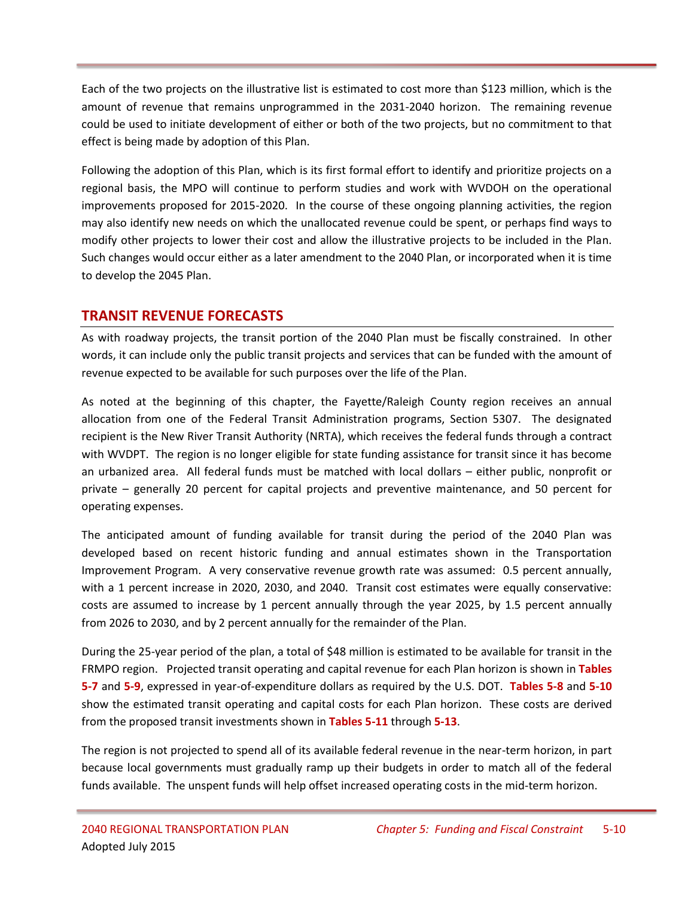Each of the two projects on the illustrative list is estimated to cost more than \$123 million, which is the amount of revenue that remains unprogrammed in the 2031-2040 horizon. The remaining revenue could be used to initiate development of either or both of the two projects, but no commitment to that effect is being made by adoption of this Plan.

Following the adoption of this Plan, which is its first formal effort to identify and prioritize projects on a regional basis, the MPO will continue to perform studies and work with WVDOH on the operational improvements proposed for 2015-2020. In the course of these ongoing planning activities, the region may also identify new needs on which the unallocated revenue could be spent, or perhaps find ways to modify other projects to lower their cost and allow the illustrative projects to be included in the Plan. Such changes would occur either as a later amendment to the 2040 Plan, or incorporated when it is time to develop the 2045 Plan.

# **TRANSIT REVENUE FORECASTS**

As with roadway projects, the transit portion of the 2040 Plan must be fiscally constrained. In other words, it can include only the public transit projects and services that can be funded with the amount of revenue expected to be available for such purposes over the life of the Plan.

As noted at the beginning of this chapter, the Fayette/Raleigh County region receives an annual allocation from one of the Federal Transit Administration programs, Section 5307. The designated recipient is the New River Transit Authority (NRTA), which receives the federal funds through a contract with WVDPT. The region is no longer eligible for state funding assistance for transit since it has become an urbanized area. All federal funds must be matched with local dollars – either public, nonprofit or private – generally 20 percent for capital projects and preventive maintenance, and 50 percent for operating expenses.

The anticipated amount of funding available for transit during the period of the 2040 Plan was developed based on recent historic funding and annual estimates shown in the Transportation Improvement Program. A very conservative revenue growth rate was assumed: 0.5 percent annually, with a 1 percent increase in 2020, 2030, and 2040. Transit cost estimates were equally conservative: costs are assumed to increase by 1 percent annually through the year 2025, by 1.5 percent annually from 2026 to 2030, and by 2 percent annually for the remainder of the Plan.

During the 25-year period of the plan, a total of \$48 million is estimated to be available for transit in the FRMPO region. Projected transit operating and capital revenue for each Plan horizon is shown in **Tables 5-7** and **5-9**, expressed in year-of-expenditure dollars as required by the U.S. DOT. **Tables 5-8** and **5-10** show the estimated transit operating and capital costs for each Plan horizon. These costs are derived from the proposed transit investments shown in **Tables 5-11** through **5-13**.

The region is not projected to spend all of its available federal revenue in the near-term horizon, in part because local governments must gradually ramp up their budgets in order to match all of the federal funds available. The unspent funds will help offset increased operating costs in the mid-term horizon.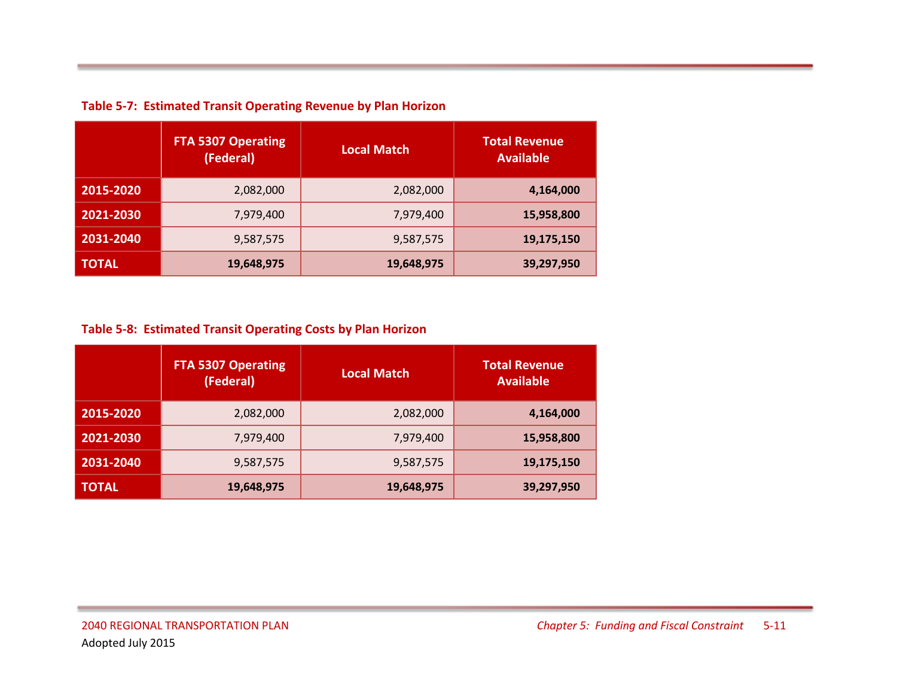|              | <b>FTA 5307 Operating</b><br>(Federal) | <b>Local Match</b> | <b>Total Revenue</b><br><b>Available</b> |
|--------------|----------------------------------------|--------------------|------------------------------------------|
| 2015-2020    | 2,082,000                              | 2,082,000          | 4,164,000                                |
| 2021-2030    | 7,979,400                              | 7,979,400          | 15,958,800                               |
| 2031-2040    | 9,587,575                              | 9,587,575          | 19,175,150                               |
| <b>TOTAL</b> | 19,648,975                             | 19,648,975         | 39,297,950                               |

**Table 5-7: Estimated Transit Operating Revenue by Plan Horizon**

# **Table 5-8: Estimated Transit Operating Costs by Plan Horizon**

|              | <b>FTA 5307 Operating</b><br>(Federal) | <b>Local Match</b> | <b>Total Revenue</b><br><b>Available</b> |
|--------------|----------------------------------------|--------------------|------------------------------------------|
| 2015-2020    | 2,082,000                              | 2,082,000          | 4,164,000                                |
| 2021-2030    | 7,979,400                              | 7,979,400          | 15,958,800                               |
| 2031-2040    | 9,587,575                              | 9,587,575          | 19,175,150                               |
| <b>TOTAL</b> | 19,648,975                             | 19,648,975         | 39,297,950                               |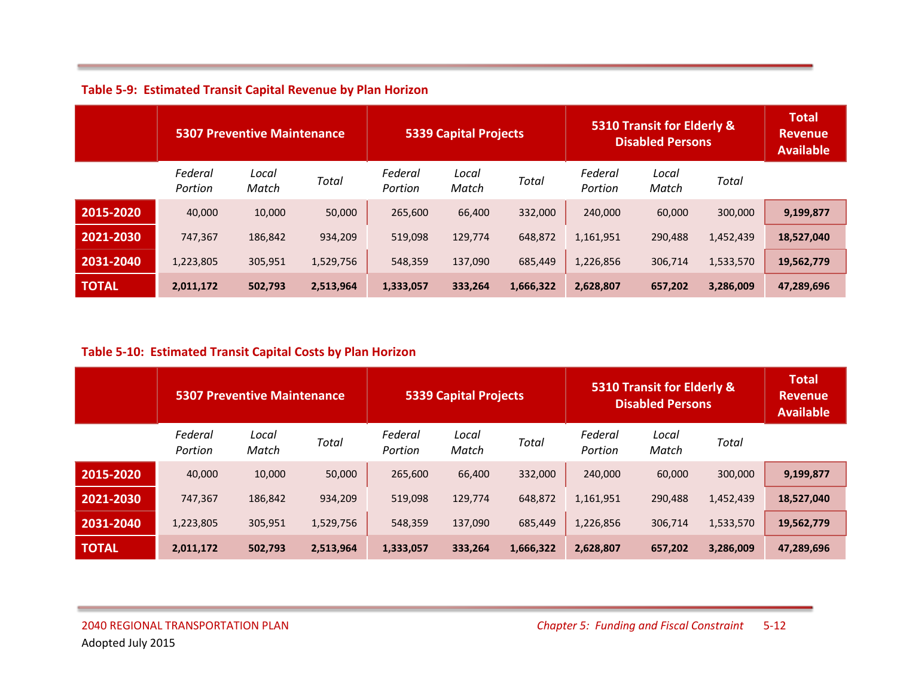|              | <b>5307 Preventive Maintenance</b> |                | <b>5339 Capital Projects</b> |                    |                | 5310 Transit for Elderly &<br><b>Disabled Persons</b> |                    |                | <b>Total</b><br><b>Revenue</b><br><b>Available</b> |            |
|--------------|------------------------------------|----------------|------------------------------|--------------------|----------------|-------------------------------------------------------|--------------------|----------------|----------------------------------------------------|------------|
|              | Federal<br>Portion                 | Local<br>Match | Total                        | Federal<br>Portion | Local<br>Match | <b>Total</b>                                          | Federal<br>Portion | Local<br>Match | Total                                              |            |
| 2015-2020    | 40,000                             | 10,000         | 50,000                       | 265,600            | 66.400         | 332,000                                               | 240,000            | 60,000         | 300,000                                            | 9,199,877  |
| 2021-2030    | 747,367                            | 186,842        | 934,209                      | 519,098            | 129,774        | 648,872                                               | 1,161,951          | 290,488        | 1,452,439                                          | 18,527,040 |
| 2031-2040    | 1,223,805                          | 305,951        | 1,529,756                    | 548,359            | 137,090        | 685,449                                               | 1,226,856          | 306,714        | 1,533,570                                          | 19,562,779 |
| <b>TOTAL</b> | 2,011,172                          | 502,793        | 2,513,964                    | 1,333,057          | 333,264        | 1,666,322                                             | 2,628,807          | 657,202        | 3,286,009                                          | 47,289,696 |

#### **Table 5-10: Estimated Transit Capital Costs by Plan Horizon**

|              | <b>5307 Preventive Maintenance</b> |                | <b>5339 Capital Projects</b> |                    |                | 5310 Transit for Elderly &<br><b>Disabled Persons</b> |                    |                | <b>Total</b><br><b>Revenue</b><br><b>Available</b> |            |
|--------------|------------------------------------|----------------|------------------------------|--------------------|----------------|-------------------------------------------------------|--------------------|----------------|----------------------------------------------------|------------|
|              | Federal<br>Portion                 | Local<br>Match | Total                        | Federal<br>Portion | Local<br>Match | Total                                                 | Federal<br>Portion | Local<br>Match | Total                                              |            |
| 2015-2020    | 40,000                             | 10,000         | 50,000                       | 265,600            | 66,400         | 332,000                                               | 240,000            | 60,000         | 300,000                                            | 9,199,877  |
| 2021-2030    | 747,367                            | 186,842        | 934,209                      | 519,098            | 129,774        | 648,872                                               | 1,161,951          | 290,488        | 1,452,439                                          | 18,527,040 |
| 2031-2040    | 1,223,805                          | 305,951        | 1,529,756                    | 548,359            | 137,090        | 685,449                                               | 1,226,856          | 306,714        | 1,533,570                                          | 19,562,779 |
| <b>TOTAL</b> | 2,011,172                          | 502,793        | 2,513,964                    | 1,333,057          | 333,264        | 1,666,322                                             | 2,628,807          | 657,202        | 3,286,009                                          | 47,289,696 |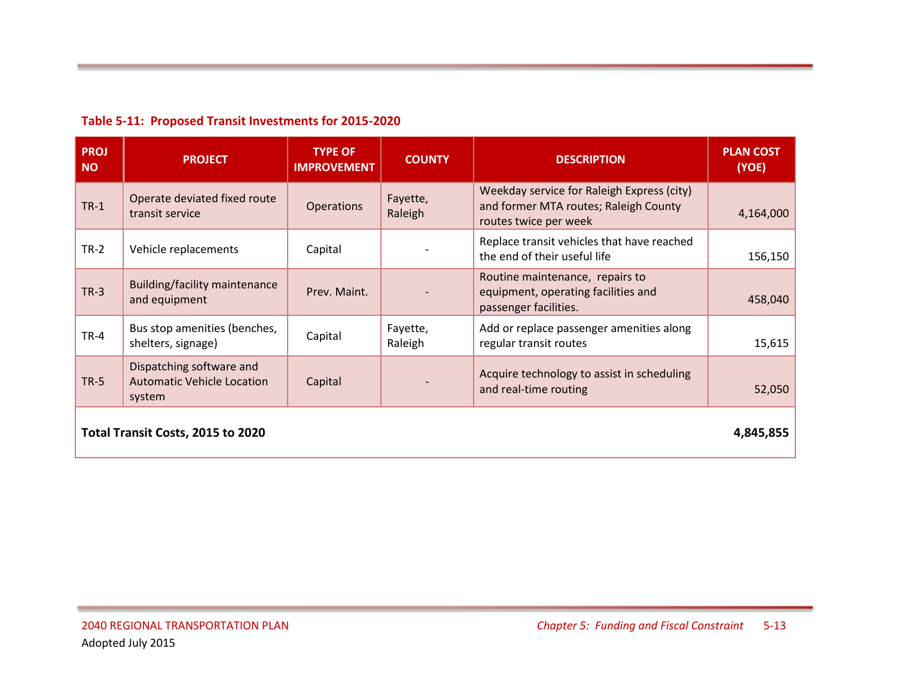|  |  |  |  | Table 5-11: Proposed Transit Investments for 2015-2020 |
|--|--|--|--|--------------------------------------------------------|
|--|--|--|--|--------------------------------------------------------|

| <b>PROJ</b><br><b>NO</b>                       | <b>PROJECT</b>                                                          | <b>TYPE OF</b><br><b>IMPROVEMENT</b> | <b>COUNTY</b>       | <b>DESCRIPTION</b>                                                                                           | <b>PLAN COST</b><br>(YOE) |  |
|------------------------------------------------|-------------------------------------------------------------------------|--------------------------------------|---------------------|--------------------------------------------------------------------------------------------------------------|---------------------------|--|
| $TR-1$                                         | Operate deviated fixed route<br>transit service                         | <b>Operations</b>                    | Fayette,<br>Raleigh | Weekday service for Raleigh Express (city)<br>and former MTA routes; Raleigh County<br>routes twice per week | 4,164,000                 |  |
| $TR-2$                                         | Vehicle replacements                                                    | Capital                              |                     | Replace transit vehicles that have reached<br>the end of their useful life                                   | 156,150                   |  |
| $TR-3$                                         | <b>Building/facility maintenance</b><br>and equipment                   | Prev. Maint.                         |                     | Routine maintenance, repairs to<br>equipment, operating facilities and<br>passenger facilities.              | 458,040                   |  |
| $TR-4$                                         | Bus stop amenities (benches,<br>shelters, signage)                      | Capital                              | Fayette,<br>Raleigh | Add or replace passenger amenities along<br>regular transit routes                                           | 15,615                    |  |
| $TR-5$                                         | Dispatching software and<br><b>Automatic Vehicle Location</b><br>system | Capital                              |                     | Acquire technology to assist in scheduling<br>and real-time routing                                          | 52,050                    |  |
| Total Transit Costs, 2015 to 2020<br>4,845,855 |                                                                         |                                      |                     |                                                                                                              |                           |  |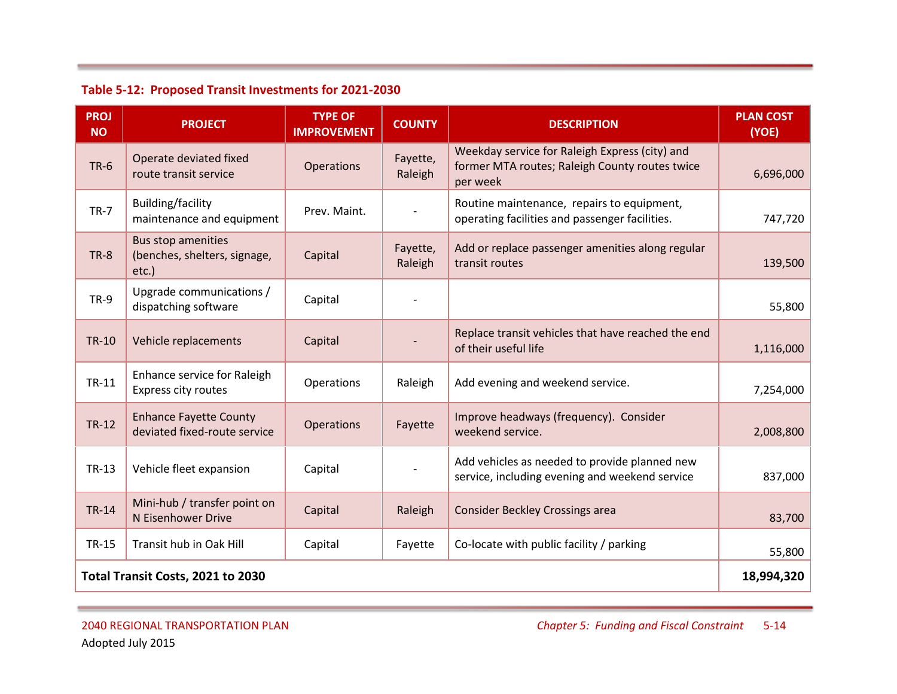| <b>PROJ</b><br><b>NO</b>          | <b>PROJECT</b>                                                        | <b>TYPE OF</b><br><b>IMPROVEMENT</b> | <b>COUNTY</b>       | <b>DESCRIPTION</b>                                                                                           | <b>PLAN COST</b><br>(YOE) |
|-----------------------------------|-----------------------------------------------------------------------|--------------------------------------|---------------------|--------------------------------------------------------------------------------------------------------------|---------------------------|
| $TR-6$                            | Operate deviated fixed<br>route transit service                       | <b>Operations</b>                    | Fayette,<br>Raleigh | Weekday service for Raleigh Express (city) and<br>former MTA routes; Raleigh County routes twice<br>per week | 6,696,000                 |
| <b>TR-7</b>                       | Building/facility<br>maintenance and equipment                        | Prev. Maint.                         |                     | Routine maintenance, repairs to equipment,<br>operating facilities and passenger facilities.                 | 747,720                   |
| <b>TR-8</b>                       | <b>Bus stop amenities</b><br>(benches, shelters, signage,<br>$etc.$ ) | Capital                              | Fayette,<br>Raleigh | Add or replace passenger amenities along regular<br>transit routes                                           | 139,500                   |
| <b>TR-9</b>                       | Upgrade communications /<br>dispatching software                      | Capital                              |                     |                                                                                                              | 55,800                    |
| <b>TR-10</b>                      | Vehicle replacements                                                  | Capital                              |                     | Replace transit vehicles that have reached the end<br>of their useful life                                   | 1,116,000                 |
| TR-11                             | Enhance service for Raleigh<br>Express city routes                    | Operations                           | Raleigh             | Add evening and weekend service.                                                                             | 7,254,000                 |
| <b>TR-12</b>                      | <b>Enhance Fayette County</b><br>deviated fixed-route service         | <b>Operations</b>                    | Fayette             | Improve headways (frequency). Consider<br>weekend service.                                                   | 2,008,800                 |
| TR-13                             | Vehicle fleet expansion                                               | Capital                              |                     | Add vehicles as needed to provide planned new<br>service, including evening and weekend service              | 837,000                   |
| <b>TR-14</b>                      | Mini-hub / transfer point on<br>N Eisenhower Drive                    | Capital                              | Raleigh             | <b>Consider Beckley Crossings area</b>                                                                       | 83,700                    |
| <b>TR-15</b>                      | Transit hub in Oak Hill                                               | Capital                              | Fayette             | Co-locate with public facility / parking                                                                     | 55,800                    |
| Total Transit Costs, 2021 to 2030 |                                                                       |                                      |                     |                                                                                                              |                           |

# **Table 5-12: Proposed Transit Investments for 2021-2030**